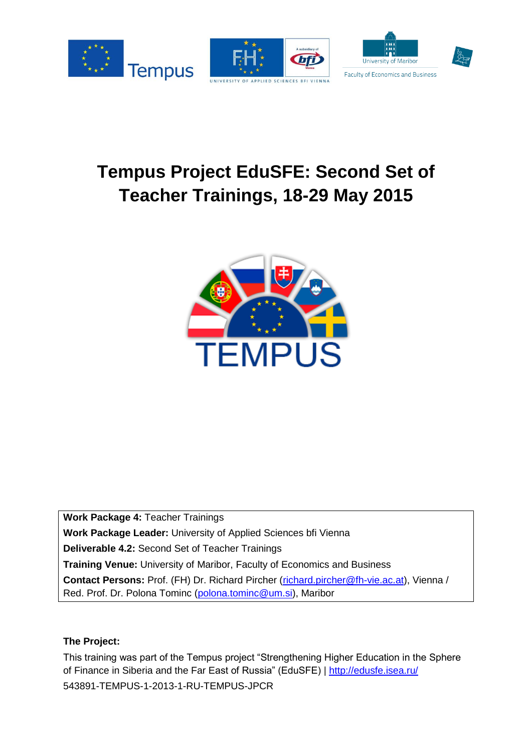

# **Tempus Project EduSFE: Second Set of Teacher Trainings, 18-29 May 2015**



**Work Package 4:** Teacher Trainings **Work Package Leader:** University of Applied Sciences bfi Vienna **Deliverable 4.2:** Second Set of Teacher Trainings **Training Venue:** University of Maribor, Faculty of Economics and Business **Contact Persons:** Prof. (FH) Dr. Richard Pircher [\(richard.pircher@fh-vie.ac.at\)](mailto:richard.pircher@fh-vie.ac.at), Vienna / Red. Prof. Dr. Polona Tominc [\(polona.tominc@um.si\)](mailto:polona.tominc@um.si), Maribor

#### **The Project:**

This training was part of the Tempus project "Strengthening Higher Education in the Sphere of Finance in Siberia and the Far East of Russia" (EduSFE) |<http://edusfe.isea.ru/> 543891-TEMPUS-1-2013-1-RU-TEMPUS-JPCR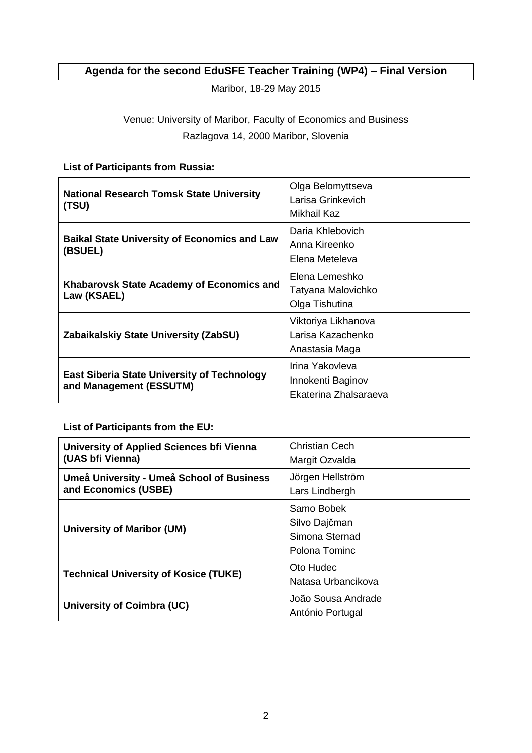## **Agenda for the second EduSFE Teacher Training (WP4) – Final Version**

Maribor, 18-29 May 2015

## Venue: University of Maribor, Faculty of Economics and Business Razlagova 14, 2000 Maribor, Slovenia

### **List of Participants from Russia:**

| <b>National Research Tomsk State University</b><br>(TSU)                      | Olga Belomyttseva<br>Larisa Grinkevich<br>Mikhail Kaz         |
|-------------------------------------------------------------------------------|---------------------------------------------------------------|
| <b>Baikal State University of Economics and Law</b><br>(BSUEL)                | Daria Khlebovich<br>Anna Kireenko<br>Elena Meteleva           |
| Khabarovsk State Academy of Economics and<br>Law (KSAEL)                      | Elena Lemeshko<br>Tatyana Malovichko<br>Olga Tishutina        |
| Zabaikalskiy State University (ZabSU)                                         | Viktoriya Likhanova<br>Larisa Kazachenko<br>Anastasia Maga    |
| <b>East Siberia State University of Technology</b><br>and Management (ESSUTM) | Irina Yakovleva<br>Innokenti Baginov<br>Ekaterina Zhalsaraeva |

**List of Participants from the EU:** 

| University of Applied Sciences bfi Vienna<br>(UAS bfi Vienna)     | Christian Cech<br>Margit Ozvalda                               |
|-------------------------------------------------------------------|----------------------------------------------------------------|
| Umeå University - Umeå School of Business<br>and Economics (USBE) | Jörgen Hellström<br>Lars Lindbergh                             |
| <b>University of Maribor (UM)</b>                                 | Samo Bobek<br>Silvo Dajčman<br>Simona Sternad<br>Polona Tominc |
| <b>Technical University of Kosice (TUKE)</b>                      | Oto Hudec<br>Natasa Urbancikova                                |
| University of Coimbra (UC)                                        | João Sousa Andrade<br>António Portugal                         |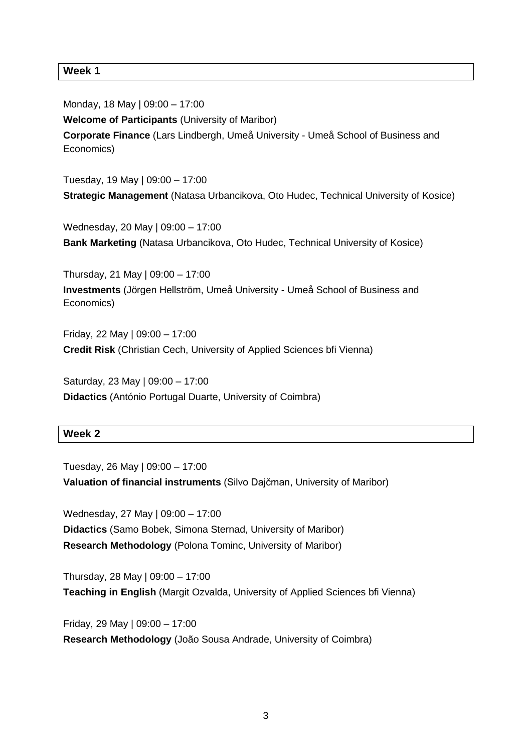**Week 1** 

Monday, 18 May | 09:00 – 17:00 **Welcome of Participants** (University of Maribor) **Corporate Finance** (Lars Lindbergh, Umeå University - Umeå School of Business and Economics)

Tuesday, 19 May | 09:00 – 17:00 **Strategic Management** (Natasa Urbancikova, Oto Hudec, Technical University of Kosice)

Wednesday, 20 May | 09:00 – 17:00 **Bank Marketing** (Natasa Urbancikova, Oto Hudec, Technical University of Kosice)

Thursday, 21 May | 09:00 – 17:00 **Investments** (Jörgen Hellström, Umeå University - Umeå School of Business and Economics)

Friday, 22 May | 09:00 – 17:00 **Credit Risk** (Christian Cech, University of Applied Sciences bfi Vienna)

Saturday, 23 May | 09:00 – 17:00 **Didactics** (António Portugal Duarte, University of Coimbra)

#### **Week 2**

Tuesday, 26 May | 09:00 – 17:00 **Valuation of financial instruments** (Silvo Dajčman, University of Maribor)

Wednesday, 27 May | 09:00 – 17:00 **Didactics** (Samo Bobek, Simona Sternad, University of Maribor) **Research Methodology** (Polona Tominc, University of Maribor)

Thursday, 28 May | 09:00 – 17:00 **Teaching in English** (Margit Ozvalda, University of Applied Sciences bfi Vienna)

Friday, 29 May | 09:00 – 17:00 **Research Methodology** (João Sousa Andrade, University of Coimbra)